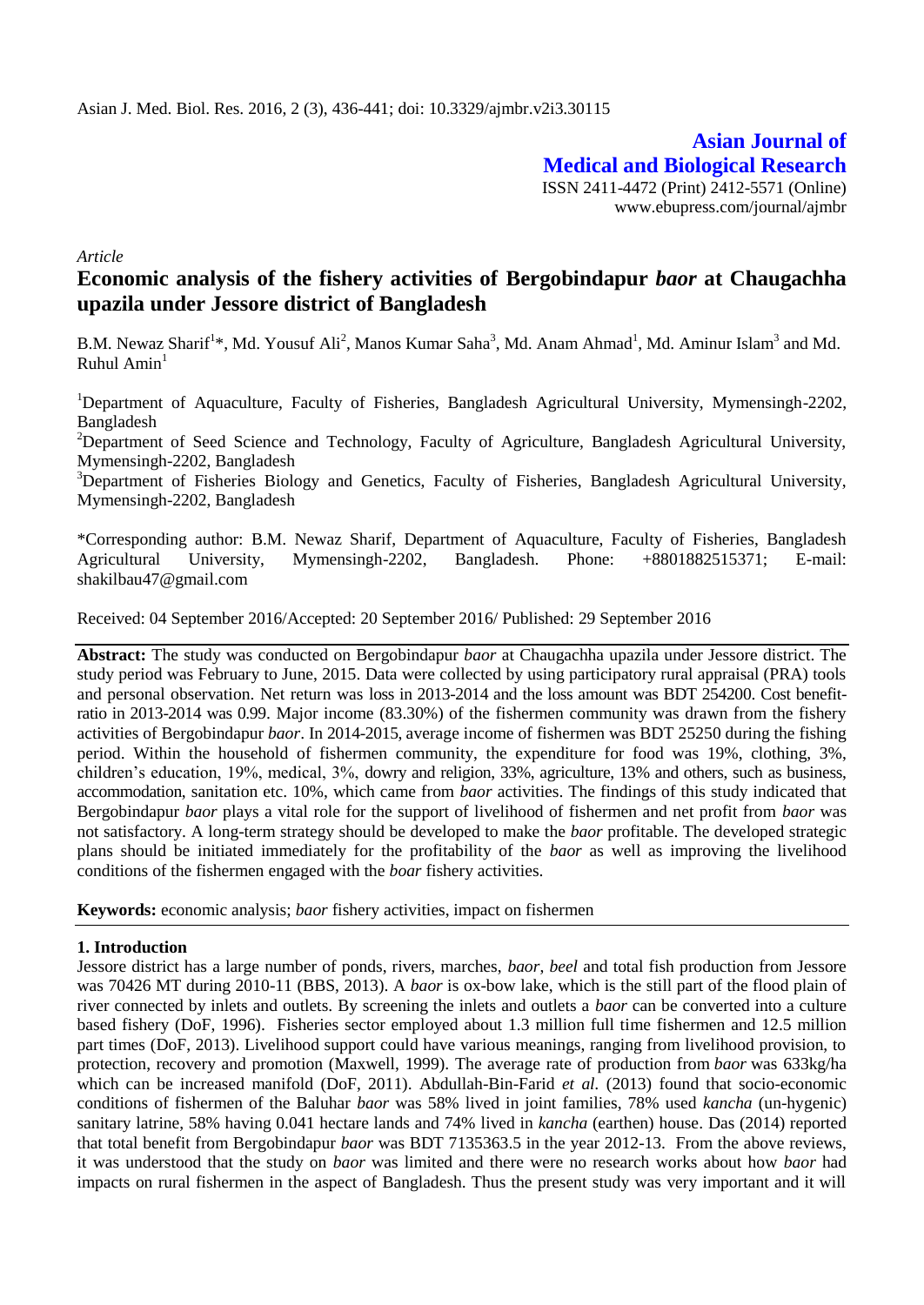**Asian Journal of Medical and Biological Research** ISSN 2411-4472 (Print) 2412-5571 (Online) www.ebupress.com/journal/ajmbr

*Article*

# **Economic analysis of the fishery activities of Bergobindapur** *baor* **at Chaugachha upazila under Jessore district of Bangladesh**

B.M. Newaz Sharif<sup>1\*</sup>, Md. Yousuf Ali<sup>2</sup>, Manos Kumar Saha<sup>3</sup>, Md. Anam Ahmad<sup>1</sup>, Md. Aminur Islam<sup>3</sup> and Md. Ruhul Amin $<sup>1</sup>$ </sup>

<sup>1</sup>Department of Aquaculture, Faculty of Fisheries, Bangladesh Agricultural University, Mymensingh-2202, Bangladesh

<sup>2</sup>Department of Seed Science and Technology, Faculty of Agriculture, Bangladesh Agricultural University, Mymensingh-2202, Bangladesh

<sup>3</sup>Department of Fisheries Biology and Genetics, Faculty of Fisheries, Bangladesh Agricultural University, Mymensingh-2202, Bangladesh

\*Corresponding author: B.M. Newaz Sharif, Department of Aquaculture, Faculty of Fisheries, Bangladesh Agricultural University, Mymensingh-2202, Bangladesh. Phone: +8801882515371; E-mail: shakilbau47@gmail.com

Received: 04 September 2016/Accepted: 20 September 2016/ Published: 29 September 2016

**Abstract:** The study was conducted on Bergobindapur *baor* at Chaugachha upazila under Jessore district. The study period was February to June, 2015. Data were collected by using participatory rural appraisal (PRA) tools and personal observation. Net return was loss in 2013-2014 and the loss amount was BDT 254200. Cost benefitratio in 2013-2014 was 0.99. Major income (83.30%) of the fishermen community was drawn from the fishery activities of Bergobindapur *baor*. In 2014-2015, average income of fishermen was BDT 25250 during the fishing period. Within the household of fishermen community, the expenditure for food was 19%, clothing, 3%, children's education, 19%, medical, 3%, dowry and religion, 33%, agriculture, 13% and others, such as business, accommodation, sanitation etc. 10%, which came from *baor* activities. The findings of this study indicated that Bergobindapur *baor* plays a vital role for the support of livelihood of fishermen and net profit from *baor* was not satisfactory. A long-term strategy should be developed to make the *baor* profitable. The developed strategic plans should be initiated immediately for the profitability of the *baor* as well as improving the livelihood conditions of the fishermen engaged with the *boar* fishery activities.

**Keywords:** economic analysis; *baor* fishery activities, impact on fishermen

## **1. Introduction**

Jessore district has a large number of ponds, rivers, marches, *baor*, *beel* and total fish production from Jessore was 70426 MT during 2010-11 (BBS, 2013). A *baor* is ox-bow lake, which is the still part of the flood plain of river connected by inlets and outlets. By screening the inlets and outlets a *baor* can be converted into a culture based fishery (DoF, 1996). Fisheries sector employed about 1.3 million full time fishermen and 12.5 million part times (DoF, 2013). Livelihood support could have various meanings, ranging from livelihood provision, to protection, recovery and promotion (Maxwell, 1999). The average rate of production from *baor* was 633kg/ha which can be increased manifold (DoF, 2011). Abdullah-Bin-Farid *et al.* (2013) found that socio-economic conditions of fishermen of the Baluhar *baor* was 58% lived in joint families, 78% used *kancha* (un-hygenic) sanitary latrine, 58% having 0.041 hectare lands and 74% lived in *kancha* (earthen) house. Das (2014) reported that total benefit from Bergobindapur *baor* was BDT 7135363.5 in the year 2012-13. From the above reviews, it was understood that the study on *baor* was limited and there were no research works about how *baor* had impacts on rural fishermen in the aspect of Bangladesh. Thus the present study was very important and it will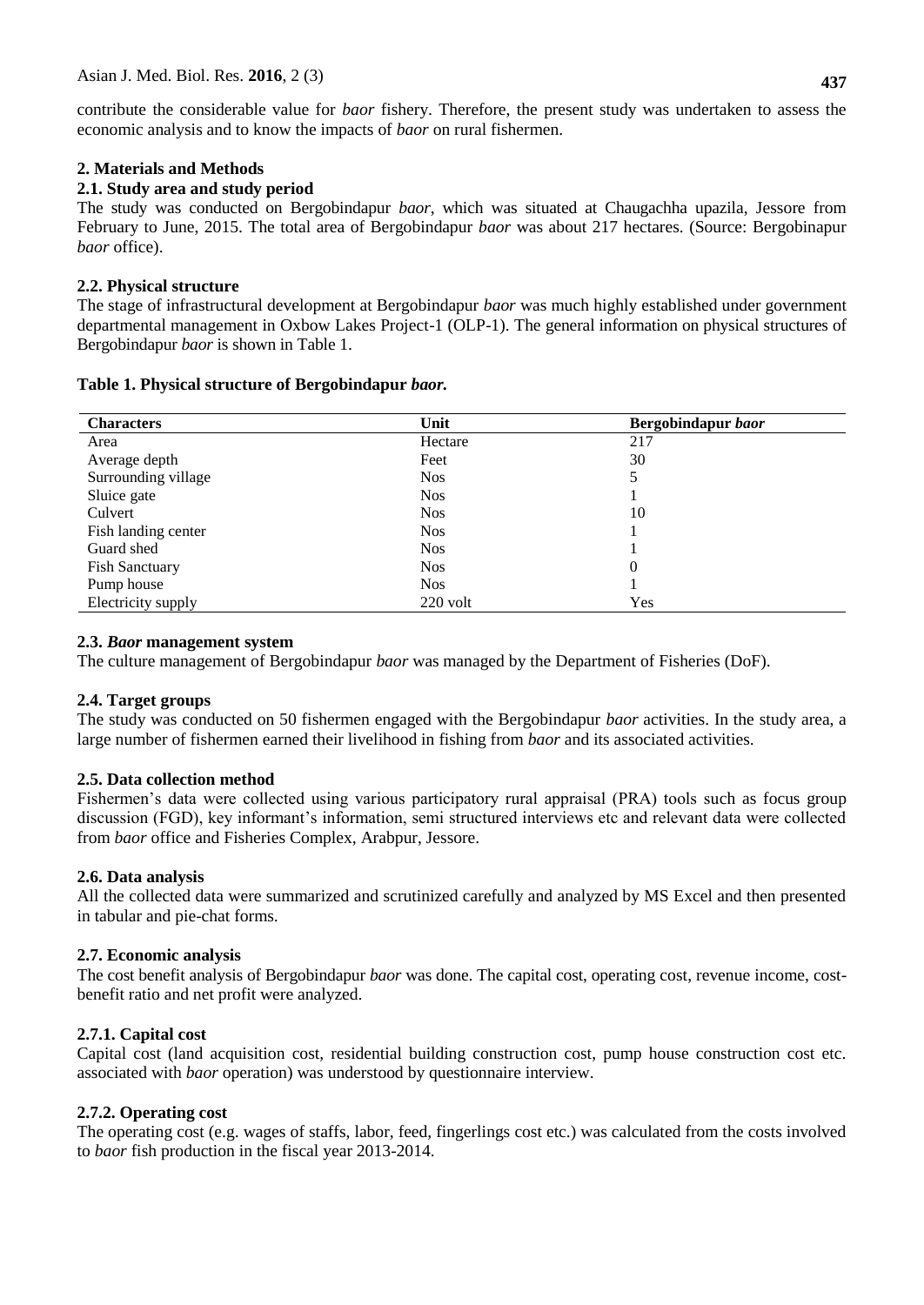contribute the considerable value for *baor* fishery. Therefore, the present study was undertaken to assess the economic analysis and to know the impacts of *baor* on rural fishermen.

## **2. Materials and Methods**

## **2.1. Study area and study period**

The study was conducted on Bergobindapur *baor*, which was situated at Chaugachha upazila, Jessore from February to June, 2015. The total area of Bergobindapur *baor* was about 217 hectares. (Source: Bergobinapur *baor* office).

# **2.2. Physical structure**

The stage of infrastructural development at Bergobindapur *baor* was much highly established under government departmental management in Oxbow Lakes Project-1 (OLP-1). The general information on physical structures of Bergobindapur *baor* is shown in Table 1.

## **Table 1. Physical structure of Bergobindapur** *baor.*

| <b>Characters</b>     | Unit       | Bergobindapur baor |
|-----------------------|------------|--------------------|
| Area                  | Hectare    | 217                |
| Average depth         | Feet       | 30                 |
| Surrounding village   | <b>Nos</b> | 5                  |
| Sluice gate           | <b>Nos</b> |                    |
| Culvert               | <b>Nos</b> | 10                 |
| Fish landing center   | <b>Nos</b> |                    |
| Guard shed            | <b>Nos</b> |                    |
| <b>Fish Sanctuary</b> | <b>Nos</b> | $\overline{0}$     |
| Pump house            | <b>Nos</b> |                    |
| Electricity supply    | $220$ volt | Yes                |

## **2.3.** *Baor* **management system**

The culture management of Bergobindapur *baor* was managed by the Department of Fisheries (DoF).

## **2.4. Target groups**

The study was conducted on 50 fishermen engaged with the Bergobindapur *baor* activities. In the study area, a large number of fishermen earned their livelihood in fishing from *baor* and its associated activities.

## **2.5. Data collection method**

Fishermen's data were collected using various participatory rural appraisal (PRA) tools such as focus group discussion (FGD), key informant's information, semi structured interviews etc and relevant data were collected from *baor* office and Fisheries Complex, Arabpur, Jessore.

## **2.6. Data analysis**

All the collected data were summarized and scrutinized carefully and analyzed by MS Excel and then presented in tabular and pie-chat forms.

## **2.7. Economic analysis**

The cost benefit analysis of Bergobindapur *baor* was done. The capital cost, operating cost, revenue income, costbenefit ratio and net profit were analyzed.

# **2.7.1. Capital cost**

Capital cost (land acquisition cost, residential building construction cost, pump house construction cost etc. associated with *baor* operation) was understood by questionnaire interview.

# **2.7.2. Operating cost**

The operating cost (e.g. wages of staffs, labor, feed, fingerlings cost etc.) was calculated from the costs involved to *baor* fish production in the fiscal year 2013-2014.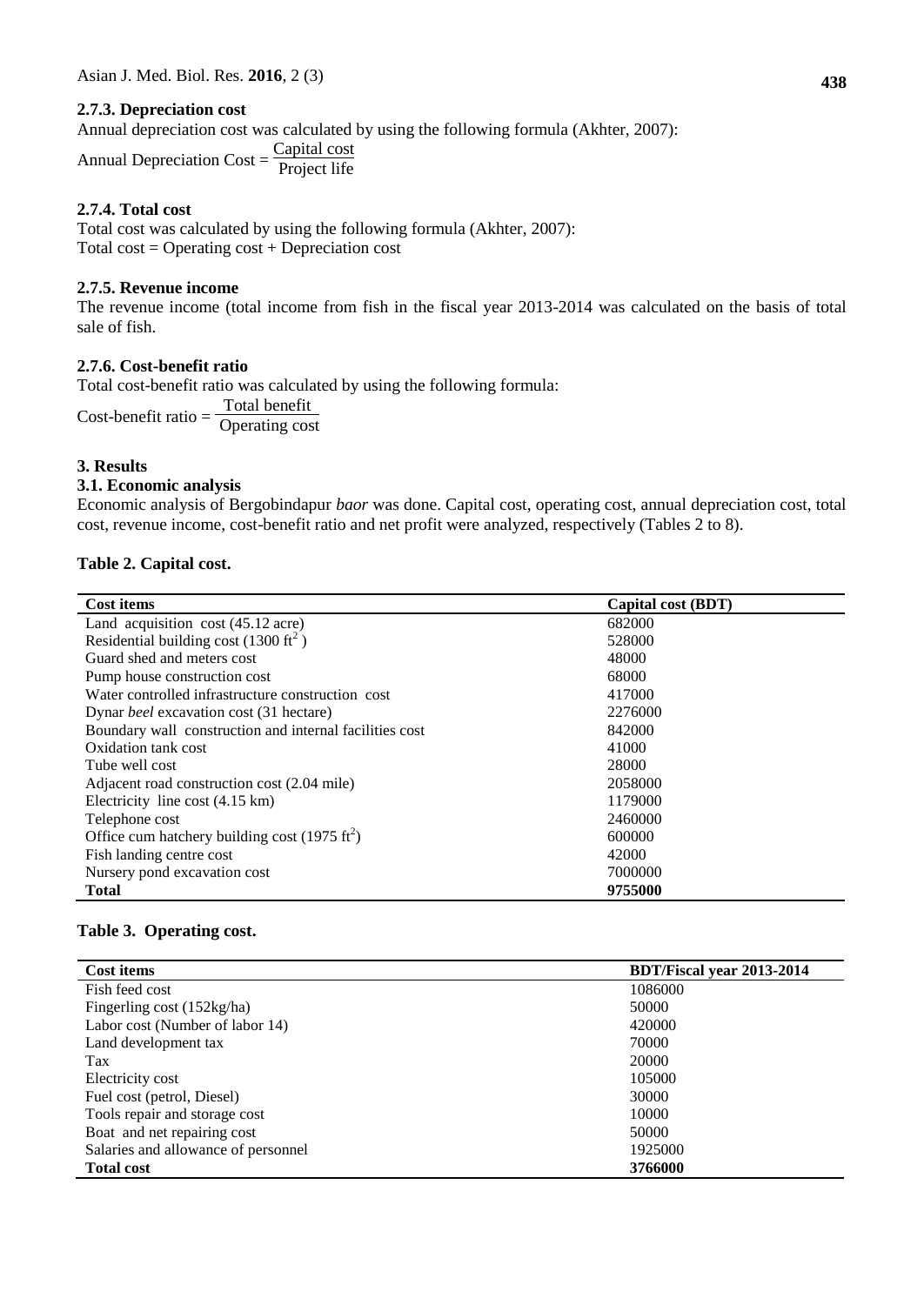## **2.7.3. Depreciation cost**

Annual depreciation cost was calculated by using the following formula (Akhter, 2007):

Annual Depreciation  $Cost = \frac{Capital cost}{ \text{Principal life}}$ Project life

## **2.7.4. Total cost**

Total cost was calculated by using the following formula (Akhter, 2007): Total  $cost = Operating cost + Depreciation cost$ 

# **2.7.5. Revenue income**

The revenue income (total income from fish in the fiscal year 2013-2014 was calculated on the basis of total sale of fish.

# **2.7.6. Cost-benefit ratio**

Total cost-benefit ratio was calculated by using the following formula: Cost-benefit ratio  $=$   $\frac{\text{Total benefit}}{\text{Operating }cos}$ Operating cost

# **3. Results**

#### **3.1. Economic analysis**

Economic analysis of Bergobindapur *baor* was done. Capital cost, operating cost, annual depreciation cost, total cost, revenue income, cost-benefit ratio and net profit were analyzed, respectively (Tables 2 to 8).

## **Table 2. Capital cost.**

| <b>Cost items</b>                                         | Capital cost (BDT) |
|-----------------------------------------------------------|--------------------|
| Land acquisition cost (45.12 acre)                        | 682000             |
| Residential building cost (1300 ft <sup>2</sup> )         | 528000             |
| Guard shed and meters cost                                | 48000              |
| Pump house construction cost                              | 68000              |
| Water controlled infrastructure construction cost         | 417000             |
| Dynar <i>beel</i> excavation cost (31 hectare)            | 2276000            |
| Boundary wall construction and internal facilities cost   | 842000             |
| Oxidation tank cost                                       | 41000              |
| Tube well cost                                            | 28000              |
| Adjacent road construction cost (2.04 mile)               | 2058000            |
| Electricity line cost $(4.15 \text{ km})$                 | 1179000            |
| Telephone cost                                            | 2460000            |
| Office cum hatchery building cost (1975 ft <sup>2</sup> ) | 600000             |
| Fish landing centre cost                                  | 42000              |
| Nursery pond excavation cost                              | 7000000            |
| <b>Total</b>                                              | 9755000            |

## **Table 3. Operating cost.**

| Cost items                          | <b>BDT/Fiscal year 2013-2014</b> |
|-------------------------------------|----------------------------------|
| Fish feed cost                      | 1086000                          |
| Fingerling cost (152kg/ha)          | 50000                            |
| Labor cost (Number of labor 14)     | 420000                           |
| Land development tax                | 70000                            |
| Tax                                 | 20000                            |
| Electricity cost                    | 105000                           |
| Fuel cost (petrol, Diesel)          | 30000                            |
| Tools repair and storage cost       | 10000                            |
| Boat and net repairing cost         | 50000                            |
| Salaries and allowance of personnel | 1925000                          |
| <b>Total cost</b>                   | 3766000                          |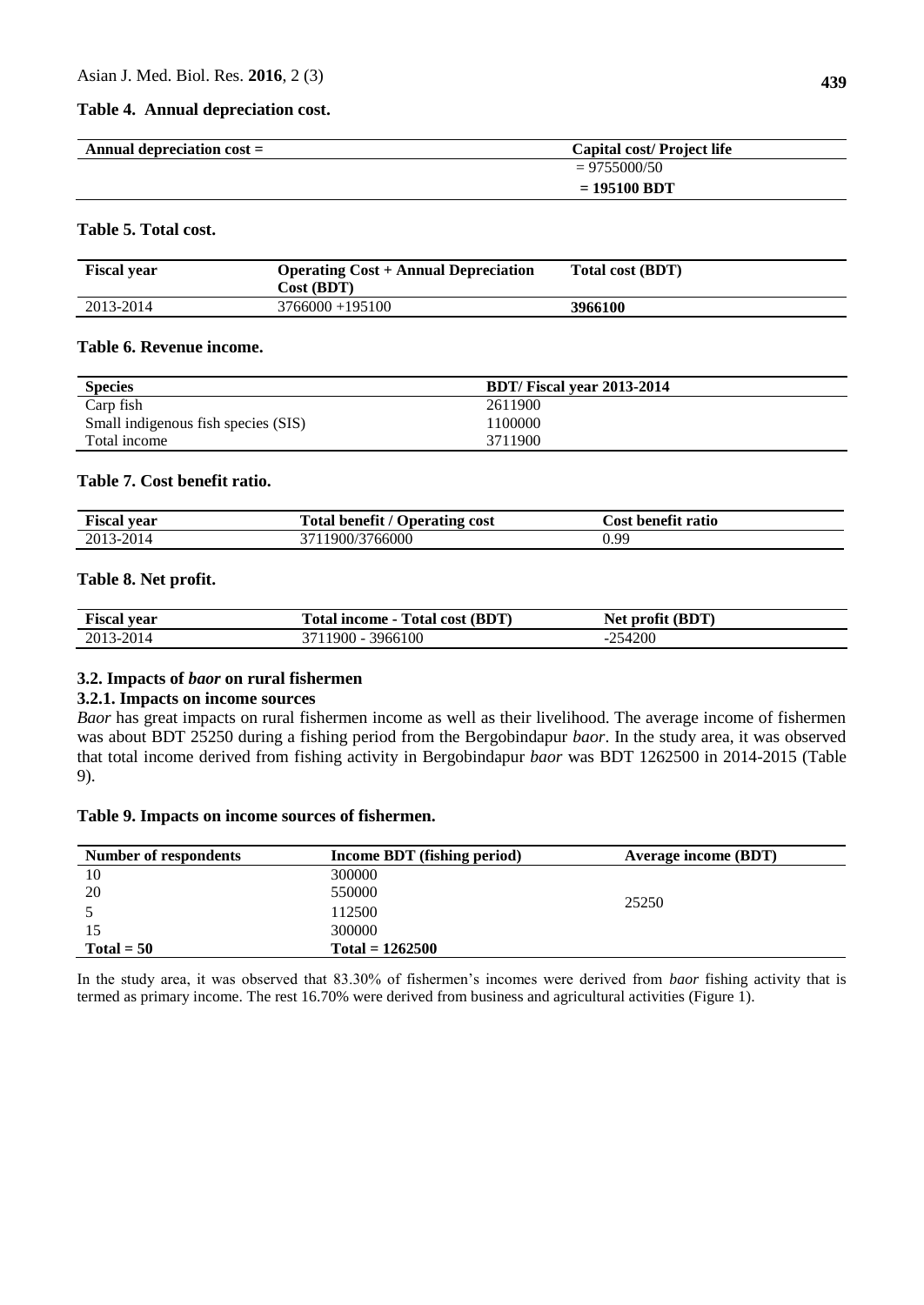#### **Table 4. Annual depreciation cost.**

| Annual depreciation $cost =$ | Capital cost/Project life |
|------------------------------|---------------------------|
|                              | $= 9755000/50$            |
|                              | $= 195100 BDT$            |

## **Table 5. Total cost.**

| <b>Fiscal year</b> | <b>Operating Cost + Annual Depreciation</b><br>Cost (BDT) | Total cost (BDT) |
|--------------------|-----------------------------------------------------------|------------------|
| 2013-2014          | $3766000 + 195100$                                        | 3966100          |

#### **Table 6. Revenue income.**

| <b>Species</b>                      | BDT/Fiscal year 2013-2014 |
|-------------------------------------|---------------------------|
| Carp fish                           | 2611900                   |
| Small indigenous fish species (SIS) | 100000                    |
| Total income                        | 3711900                   |

#### **Table 7. Cost benefit ratio.**

| <b>Fiscal year</b> | $\mathbf{a}$<br>Fotal<br><b>Operating cost</b><br>-benefit / | .`ost<br><b>benefit ratio</b> |
|--------------------|--------------------------------------------------------------|-------------------------------|
| 3-2014<br>2013     | 766000<br>1900/s                                             | 0.99 <sub>o</sub>             |

#### **Table 8. Net profit.**

| <b>Fiscal year</b> | Total income - Total cost (BDT) | Net profit (BDT)         |
|--------------------|---------------------------------|--------------------------|
| 2013-2014          | 11900<br>3966100<br>າາ          | 254200<br>- 1<br>'' الال |

## **3.2. Impacts of** *baor* **on rural fishermen**

#### **3.2.1. Impacts on income sources**

*Baor* has great impacts on rural fishermen income as well as their livelihood. The average income of fishermen was about BDT 25250 during a fishing period from the Bergobindapur *baor*. In the study area, it was observed that total income derived from fishing activity in Bergobindapur *baor* was BDT 1262500 in 2014-2015 (Table 9).

## **Table 9. Impacts on income sources of fishermen.**

| Number of respondents | Income BDT (fishing period) | Average income (BDT) |
|-----------------------|-----------------------------|----------------------|
| 10                    | 300000                      |                      |
| 20                    | 550000                      |                      |
|                       | 112500                      | 25250                |
|                       | 300000                      |                      |
| Total = $50$          | $Total = 1262500$           |                      |

In the study area, it was observed that 83.30% of fishermen's incomes were derived from *baor* fishing activity that is termed as primary income. The rest 16.70% were derived from business and agricultural activities (Figure 1).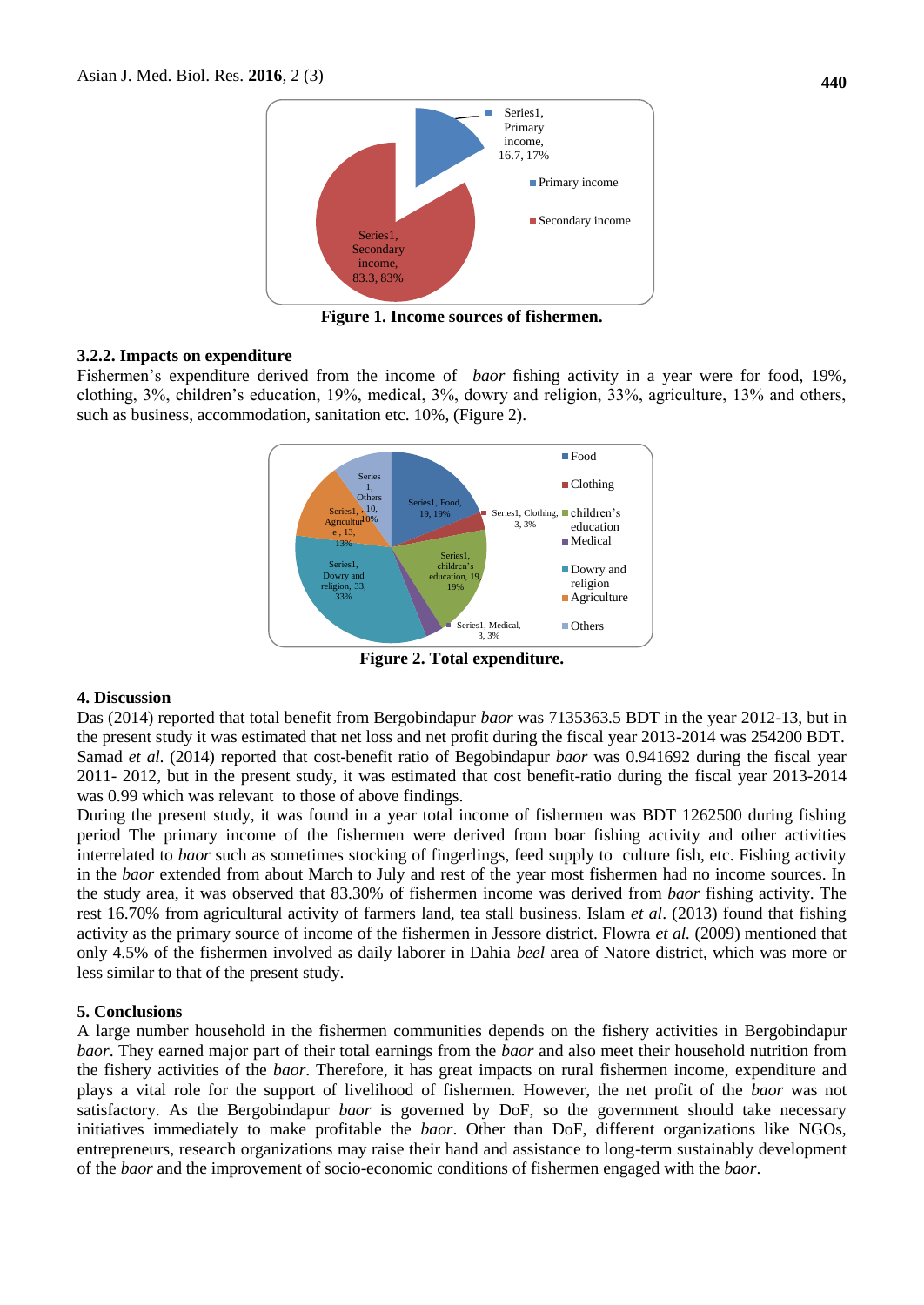

**Figure 1. Income sources of fishermen.**

## **3.2.2. Impacts on expenditure**

Fishermen's expenditure derived from the income of *baor* fishing activity in a year were for food, 19%, clothing, 3%, children's education, 19%, medical, 3%, dowry and religion, 33%, agriculture, 13% and others, such as business, accommodation, sanitation etc. 10%, (Figure 2).



**Figure 2. Total expenditure.**

#### **4. Discussion**

Das (2014) reported that total benefit from Bergobindapur *baor* was 7135363.5 BDT in the year 2012-13, but in the present study it was estimated that net loss and net profit during the fiscal year 2013-2014 was 254200 BDT. Samad *et al*. (2014) reported that cost-benefit ratio of Begobindapur *baor* was 0.941692 during the fiscal year 2011- 2012, but in the present study, it was estimated that cost benefit-ratio during the fiscal year 2013-2014 was 0.99 which was relevant to those of above findings.

During the present study, it was found in a year total income of fishermen was BDT 1262500 during fishing period The primary income of the fishermen were derived from boar fishing activity and other activities interrelated to *baor* such as sometimes stocking of fingerlings, feed supply to culture fish, etc. Fishing activity in the *baor* extended from about March to July and rest of the year most fishermen had no income sources. In the study area, it was observed that 83.30% of fishermen income was derived from *baor* fishing activity. The rest 16.70% from agricultural activity of farmers land, tea stall business. Islam *et al*. (2013) found that fishing activity as the primary source of income of the fishermen in Jessore district. Flowra *et al.* (2009) mentioned that only 4.5% of the fishermen involved as daily laborer in Dahia *beel* area of Natore district, which was more or less similar to that of the present study.

#### **5. Conclusions**

A large number household in the fishermen communities depends on the fishery activities in Bergobindapur *baor*. They earned major part of their total earnings from the *baor* and also meet their household nutrition from the fishery activities of the *baor*. Therefore, it has great impacts on rural fishermen income, expenditure and plays a vital role for the support of livelihood of fishermen. However, the net profit of the *baor* was not satisfactory. As the Bergobindapur *baor* is governed by DoF, so the government should take necessary initiatives immediately to make profitable the *baor*. Other than DoF, different organizations like NGOs, entrepreneurs, research organizations may raise their hand and assistance to long-term sustainably development of the *baor* and the improvement of socio-economic conditions of fishermen engaged with the *baor*.